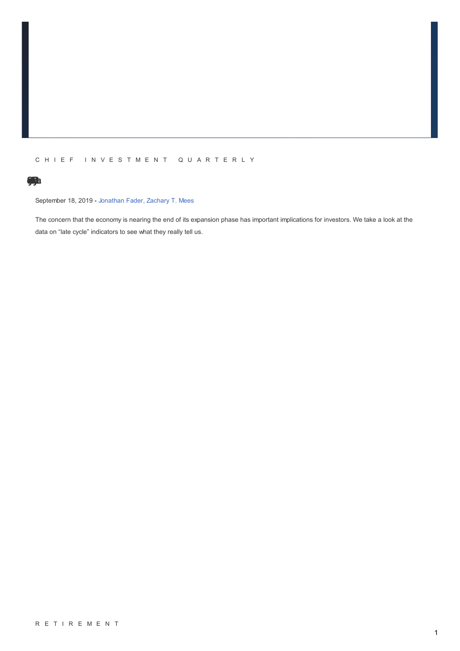## C H I E F I N V E S T M E N T Q U A R T E R L Y

# **oS[m](/Insights/Research/Chief-Investment-Quarterly/Late-Cycle-Syndrome)nydre[eCc](/Insights/Research/Chief-Investment-Quarterly/Late-Cycle-Syndrome)l[yeLat](/Insights/Research/Chief-Investment-Quarterly/Late-Cycle-Syndrome)**

September 18, 2019 - [Jonathan](/Search?contributors=Jonathan Fader) Fader, [Zachary](/Search?contributors=Zachary T. Mees) T. Mees

The concern that the economy is nearing the end of its expansion phase has important implications for investors. We take a look at the data on "late cycle" indicators to see what they really tell us.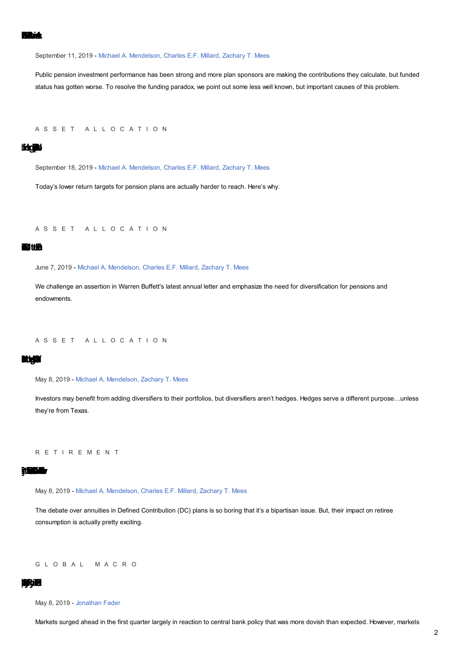September 11, 2019 - Michael A. Mendelson, Charles E.F. Millard, Zachary T. Mees

Public pension investment performance has been strong and more plan sponsors are making the contributions they calculate, but funded status has gotten worse. To resolve the funding paradox, we point out some less well known, but important causes of this problem.

ASSET ALLOCATION

## **lidges**

September 18, 2019 - Michael A. Mendelson, Charles E.F. Millard, Zachary T. Mees

Today's lower return targets for pension plans are actually harder to reach. Here's why.

ASSET ALLOCATION

### **Bitth**

June 7, 2019 - Michael A. Mendelson, Charles E.F. Millard, Zachary T. Mees

We challenge an assertion in Warren Buffett's latest annual letter and emphasize the need for diversification for pensions and endowments.

ASSET ALLOCATION

#### 斯頓

May 8, 2019 - Michael A. Mendelson, Zachary T. Mees

Investors may benefit from adding diversifiers to their portfolios, but diversifiers aren't hedges. Hedges serve a different purpose...unless they're from Texas.

R E T I R E M E N T

#### **NESK**

May 8, 2019 - Michael A. Mendelson, Charles E.F. Millard, Zachary T. Mees

The debate over annuities in Defined Contribution (DC) plans is so boring that it's a bipartisan issue. But, their impact on retiree consumption is actually pretty exciting.

GLOBAL MACRO

### R٦

May 8, 2019 - Jonathan Fader

Markets surged ahead in the first quarter largely in reaction to central bank policy that was more dovish than expected. However, markets